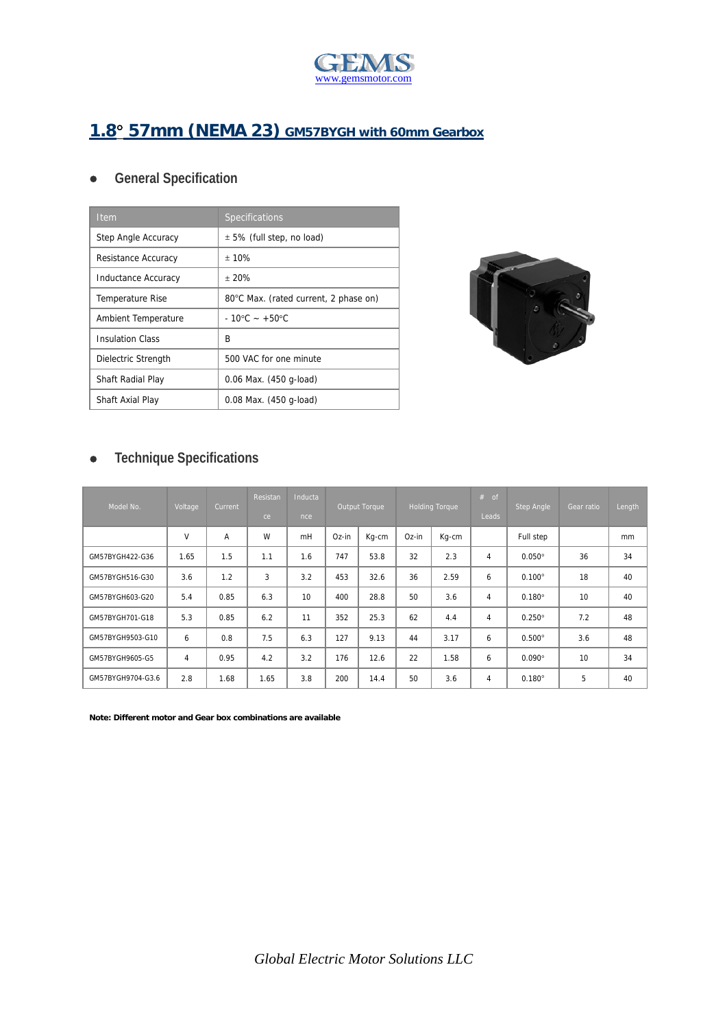

## **1.8 57mm (NEMA 23) GM57BYGH with 60mm Gearbox**

## **General Specification**

| <b>Item</b>             | Specifications                        |
|-------------------------|---------------------------------------|
| Step Angle Accuracy     | $\pm$ 5% (full step, no load)         |
| Resistance Accuracy     | ± 10%                                 |
| Inductance Accuracy     | ± 20%                                 |
| <b>Temperature Rise</b> | 80°C Max. (rated current, 2 phase on) |
| Ambient Temperature     | $-10^{\circ}$ C ~ +50 $^{\circ}$ C    |
| <b>Insulation Class</b> | R                                     |
| Dielectric Strength     | 500 VAC for one minute                |
| Shaft Radial Play       | 0.06 Max. (450 g-load)                |
| Shaft Axial Play        | 0.08 Max. (450 g-load)                |



## **Technique Specifications**

| Model No.         | Voltage        | Current | Resistan<br>ce | Inducta<br>nce <sub>1</sub> | Output Torque |       | <b>Holding Torque</b> |       | $#$ of<br>Leads | <b>Step Angle</b> | Gear ratio | Length |
|-------------------|----------------|---------|----------------|-----------------------------|---------------|-------|-----------------------|-------|-----------------|-------------------|------------|--------|
|                   | V              | A       | W              | mH                          | Oz-in         | Kg-cm | Oz-in                 | Kg-cm |                 | Full step         |            | mm     |
| GM57BYGH422-G36   | 1.65           | 1.5     | 1.1            | 1.6                         | 747           | 53.8  | 32                    | 2.3   | 4               | $0.050^\circ$     | 36         | 34     |
| GM57BYGH516-G30   | 3.6            | 1.2     | 3              | 3.2                         | 453           | 32.6  | 36                    | 2.59  | 6               | $0.100^\circ$     | 18         | 40     |
| GM57BYGH603-G20   | 5.4            | 0.85    | 6.3            | 10                          | 400           | 28.8  | 50                    | 3.6   | $\overline{4}$  | $0.180^\circ$     | 10         | 40     |
| GM57BYGH701-G18   | 5.3            | 0.85    | 6.2            | 11                          | 352           | 25.3  | 62                    | 4.4   | 4               | $0.250^\circ$     | 7.2        | 48     |
| GM57BYGH9503-G10  | 6              | 0.8     | 7.5            | 6.3                         | 127           | 9.13  | 44                    | 3.17  | 6               | $0.500^\circ$     | 3.6        | 48     |
| GM57BYGH9605-G5   | $\overline{4}$ | 0.95    | 4.2            | 3.2                         | 176           | 12.6  | 22                    | 1.58  | 6               | $0.090^\circ$     | 10         | 34     |
| GM57BYGH9704-G3.6 | 2.8            | 1.68    | 1.65           | 3.8                         | 200           | 14.4  | 50                    | 3.6   | 4               | $0.180^\circ$     | 5          | 40     |

**Note: Different motor and Gear box combinations are available**